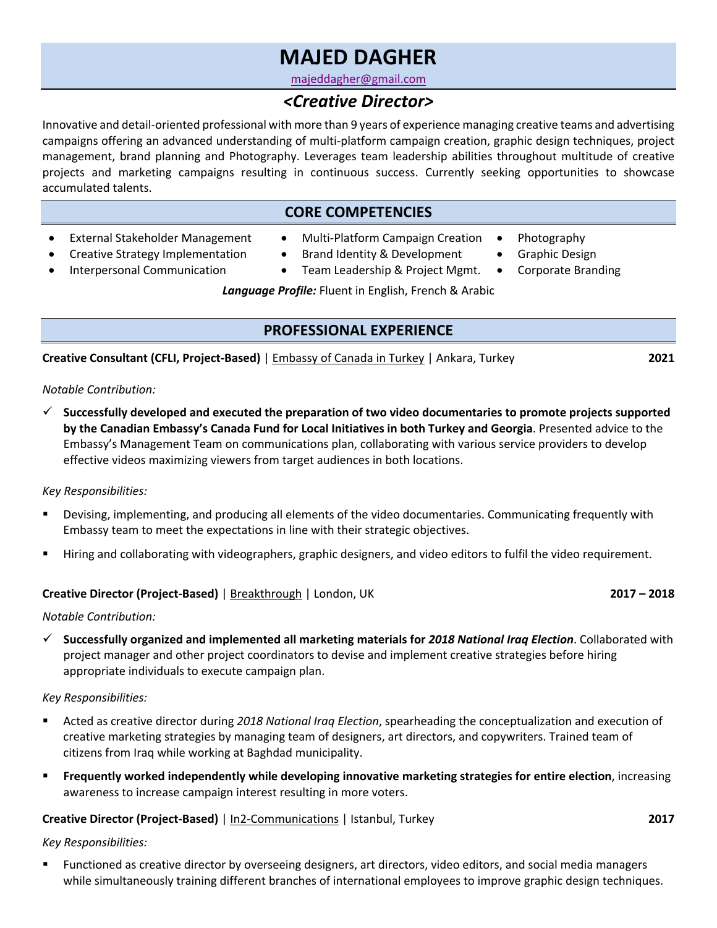# **MAJED DAGHER**

majeddagher@gmail.com

# *<Creative Director>*

Innovative and detail-oriented professional with more than 9 years of experience managing creative teams and advertising campaigns offering an advanced understanding of multi-platform campaign creation, graphic design techniques, project management, brand planning and Photography. Leverages team leadership abilities throughout multitude of creative projects and marketing campaigns resulting in continuous success. Currently seeking opportunities to showcase accumulated talents.

### **CORE COMPETENCIES**

- External Stakeholder Management • Creative Strategy Implementation
- Multi-Platform Campaign Creation
- Photography
- Graphic Design
- Interpersonal Communication
- Brand Identity & Development • Team Leadership & Project Mgmt.
- Corporate Branding

*Language Profile:* Fluent in English, French & Arabic

## **PROFESSIONAL EXPERIENCE**

**Creative Consultant (CFLI, Project-Based)** | Embassy of Canada in Turkey | Ankara, Turkey **2021**

#### *Notable Contribution:*

ü **Successfully developed and executed the preparation of two video documentaries to promote projects supported by the Canadian Embassy's Canada Fund for Local Initiatives in both Turkey and Georgia**. Presented advice to the Embassy's Management Team on communications plan, collaborating with various service providers to develop effective videos maximizing viewers from target audiences in both locations.

### *Key Responsibilities:*

- Devising, implementing, and producing all elements of the video documentaries. Communicating frequently with Embassy team to meet the expectations in line with their strategic objectives.
- § Hiring and collaborating with videographers, graphic designers, and video editors to fulfil the video requirement.

### **Creative Director (Project-Based)** | Breakthrough | London, UK **2017 – 2018**

#### *Notable Contribution:*

ü **Successfully organized and implemented all marketing materials for** *2018 National Iraq Election*. Collaborated with project manager and other project coordinators to devise and implement creative strategies before hiring appropriate individuals to execute campaign plan.

#### *Key Responsibilities:*

- § Acted as creative director during *2018 National Iraq Election*, spearheading the conceptualization and execution of creative marketing strategies by managing team of designers, art directors, and copywriters. Trained team of citizens from Iraq while working at Baghdad municipality.
- § **Frequently worked independently while developing innovative marketing strategies for entire election**, increasing awareness to increase campaign interest resulting in more voters.

### **Creative Director (Project-Based)** | In2-Communications | Istanbul, Turkey **2017**

- *Key Responsibilities:*
- Functioned as creative director by overseeing designers, art directors, video editors, and social media managers while simultaneously training different branches of international employees to improve graphic design techniques.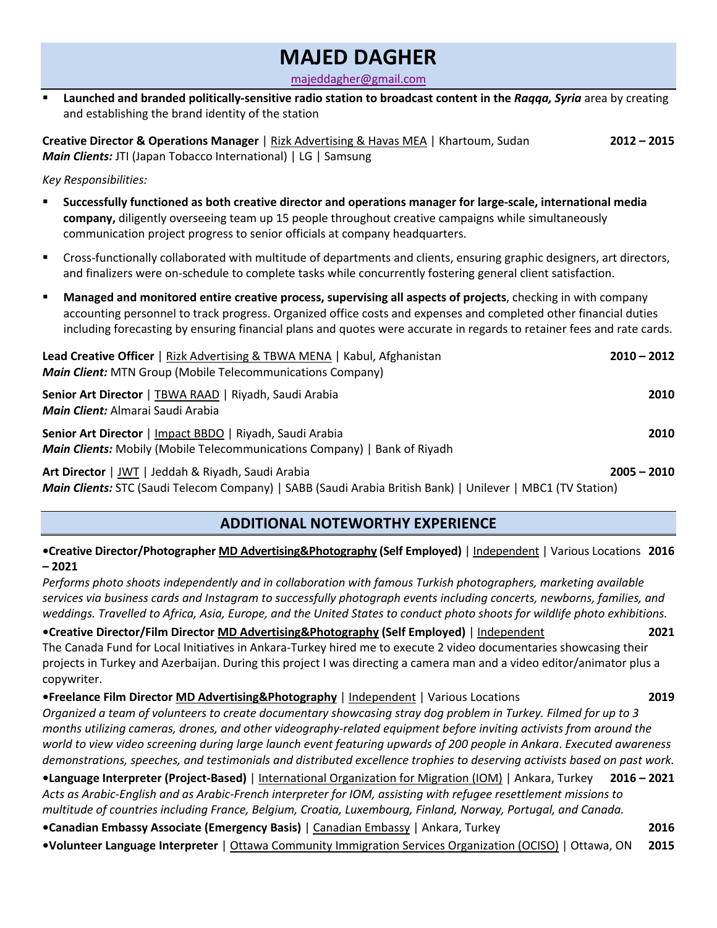# **MAJED DAGHER**

majeddagher@gmail.com

§ **Launched and branded politically-sensitive radio station to broadcast content in the** *Raqqa, Syria* area by creating and establishing the brand identity of the station

**Creative Director & Operations Manager** | Rizk Advertising & Havas MEA | Khartoum, Sudan **2012 – 2015** *Main Clients:* JTI (Japan Tobacco International) | LG | Samsung

*Key Responsibilities:*

- § **Successfully functioned as both creative director and operations manager for large-scale, international media company,** diligently overseeing team up 15 people throughout creative campaigns while simultaneously communication project progress to senior officials at company headquarters.
- § Cross-functionally collaborated with multitude of departments and clients, ensuring graphic designers, art directors, and finalizers were on-schedule to complete tasks while concurrently fostering general client satisfaction.
- § **Managed and monitored entire creative process, supervising all aspects of projects**, checking in with company accounting personnel to track progress. Organized office costs and expenses and completed other financial duties including forecasting by ensuring financial plans and quotes were accurate in regards to retainer fees and rate cards.

| <b>Lead Creative Officer</b>   Rizk Advertising & TBWA MENA   Kabul, Afghanistan<br><b>Main Client:</b> MTN Group (Mobile Telecommunications Company)<br>Senior Art Director   TBWA RAAD   Riyadh, Saudi Arabia<br><b>Main Client:</b> Almarai Saudi Arabia | $2010 - 2012$<br>2010 |
|-------------------------------------------------------------------------------------------------------------------------------------------------------------------------------------------------------------------------------------------------------------|-----------------------|
|                                                                                                                                                                                                                                                             |                       |
| Art Director   JWT   Jeddah & Riyadh, Saudi Arabia                                                                                                                                                                                                          | $2005 - 2010$         |

*Main Clients:* STC (Saudi Telecom Company) | SABB (Saudi Arabia British Bank) | Unilever | MBC1 (TV Station)

### **ADDITIONAL NOTEWORTHY EXPERIENCE**

**•Creative Director/Photographer MD Advertising&Photography (Self Employed)** | Independent | Various Locations **2016 – 2021**

*Performs photo shoots independently and in collaboration with famous Turkish photographers, marketing available services via business cards and Instagram to successfully photograph events including concerts, newborns, families, and weddings. Travelled to Africa, Asia, Europe, and the United States to conduct photo shoots for wildlife photo exhibitions.*

**•Creative Director/Film Director MD Advertising&Photography (Self Employed)** | Independent **2021** The Canada Fund for Local Initiatives in Ankara-Turkey hired me to execute 2 video documentaries showcasing their projects in Turkey and Azerbaijan. During this project I was directing a camera man and a video editor/animator plus a copywriter.

**•Freelance Film Director MD Advertising&Photography** | Independent | Various Locations **2019** *Organized a team of volunteers to create documentary showcasing stray dog problem in Turkey. Filmed for up to 3 months utilizing cameras, drones, and other videography-related equipment before inviting activists from around the world to view video screening during large launch event featuring upwards of 200 people in Ankara*. *Executed awareness demonstrations, speeches, and testimonials and distributed excellence trophies to deserving activists based on past work.*

**•Language Interpreter (Project-Based)** | International Organization for Migration (IOM) | Ankara, Turkey **2016 – 2021** *Acts as Arabic-English and as Arabic-French interpreter for IOM, assisting with refugee resettlement missions to multitude of countries including France, Belgium, Croatia, Luxembourg, Finland, Norway, Portugal, and Canada.*

**•Canadian Embassy Associate (Emergency Basis)** | Canadian Embassy | Ankara, Turkey **2016**

**•Volunteer Language Interpreter** | Ottawa Community Immigration Services Organization (OCISO) | Ottawa, ON **2015**